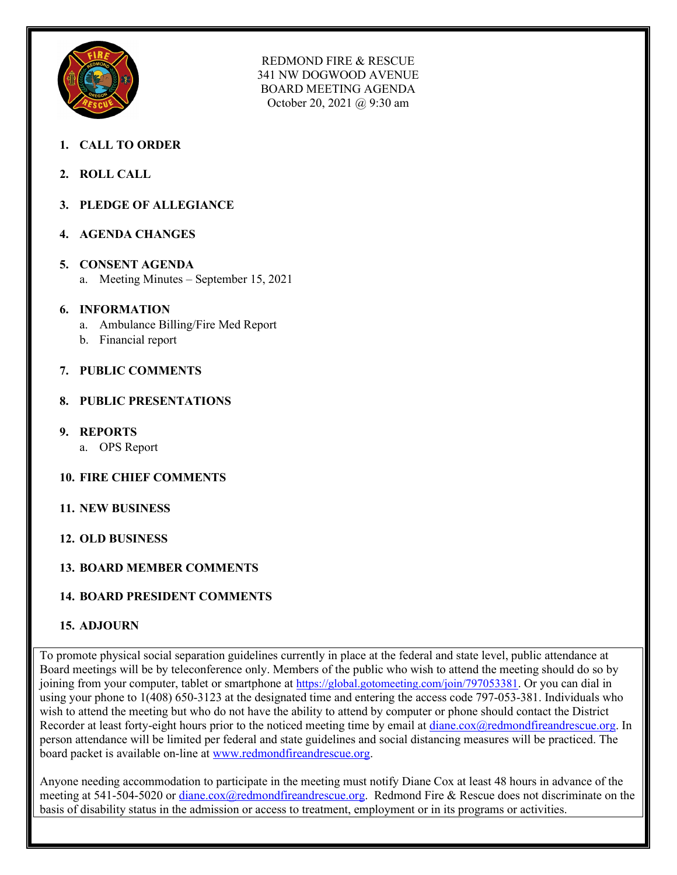

REDMOND FIRE & RESCUE 341 NW DOGWOOD AVENUE BOARD MEETING AGENDA October 20, 2021 @ 9:30 am

- **1. CALL TO ORDER**
- **2. ROLL CALL**
- **3. PLEDGE OF ALLEGIANCE**
- **4. AGENDA CHANGES**
- **5. CONSENT AGENDA**
	- a. Meeting Minutes September 15, 2021
- **6. INFORMATION**
	- a. Ambulance Billing/Fire Med Report
	- b. Financial report
- **7. PUBLIC COMMENTS**
- **8. PUBLIC PRESENTATIONS**
- **9. REPORTS** 
	- a. OPS Report
- **10. FIRE CHIEF COMMENTS**
- **11. NEW BUSINESS**
- **12. OLD BUSINESS**

## **13. BOARD MEMBER COMMENTS**

## **14. BOARD PRESIDENT COMMENTS**

## **15. ADJOURN**

To promote physical social separation guidelines currently in place at the federal and state level, public attendance at Board meetings will be by teleconference only. Members of the public who wish to attend the meeting should do so by joining from your computer, tablet or smartphone at https://global.gotomeeting.com/join/797053381</u>. Or you can dial in using your phone to 1(408) 650-3123 at the designated time and entering the access code 797-053-381. Individuals who wish to attend the meeting but who do not have the ability to attend by computer or phone should contact the District Recorder at least forty-eight hours prior to the noticed meeting time by email at [diane.cox@redmondfireandrescue.org.](mailto:diane.cox@redmondfireandrescue.org) In person attendance will be limited per federal and state guidelines and social distancing measures will be practiced. The board packet is available on-line at [www.redmondfireandrescue.org.](http://www.redmondfireandrescue.org/)

Anyone needing accommodation to participate in the meeting must notify Diane Cox at least 48 hours in advance of the meeting at 541-504-5020 or [diane.cox@redmondfireandrescue.org.](mailto:diane.cox@redmondfireandrescue.org) Redmond Fire & Rescue does not discriminate on the basis of disability status in the admission or access to treatment, employment or in its programs or activities.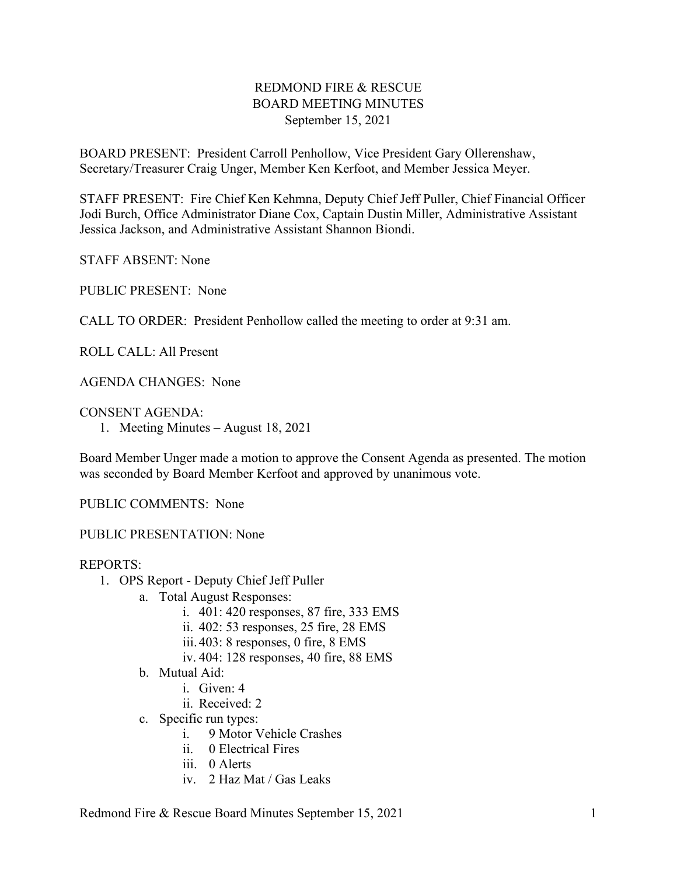## REDMOND FIRE & RESCUE BOARD MEETING MINUTES September 15, 2021

BOARD PRESENT: President Carroll Penhollow, Vice President Gary Ollerenshaw, Secretary/Treasurer Craig Unger, Member Ken Kerfoot, and Member Jessica Meyer.

STAFF PRESENT: Fire Chief Ken Kehmna, Deputy Chief Jeff Puller, Chief Financial Officer Jodi Burch, Office Administrator Diane Cox, Captain Dustin Miller, Administrative Assistant Jessica Jackson, and Administrative Assistant Shannon Biondi.

STAFF ABSENT: None

PUBLIC PRESENT: None

CALL TO ORDER: President Penhollow called the meeting to order at 9:31 am.

ROLL CALL: All Present

AGENDA CHANGES: None

CONSENT AGENDA:

1. Meeting Minutes – August 18, 2021

Board Member Unger made a motion to approve the Consent Agenda as presented. The motion was seconded by Board Member Kerfoot and approved by unanimous vote.

PUBLIC COMMENTS: None

PUBLIC PRESENTATION: None

#### REPORTS:

- 1. OPS Report Deputy Chief Jeff Puller
	- a. Total August Responses:
		- i. 401: 420 responses, 87 fire, 333 EMS
		- ii. 402: 53 responses, 25 fire, 28 EMS
		- iii. 403: 8 responses, 0 fire, 8 EMS
		- iv. 404: 128 responses, 40 fire, 88 EMS
	- b. Mutual Aid:
		- i. Given: 4
		- ii. Received: 2
	- c. Specific run types:
		- i. 9 Motor Vehicle Crashes
		- ii. 0 Electrical Fires
		- iii. 0 Alerts
		- iv. 2 Haz Mat / Gas Leaks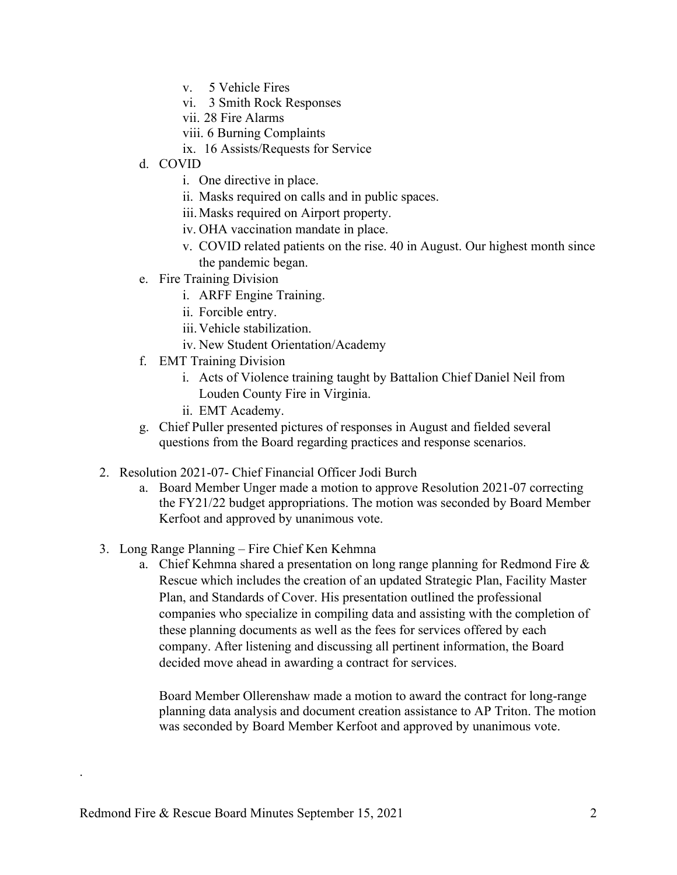- v. 5 Vehicle Fires
- vi. 3 Smith Rock Responses
- vii. 28 Fire Alarms
- viii. 6 Burning Complaints
- ix. 16 Assists/Requests for Service
- d. COVID
	- i. One directive in place.
	- ii. Masks required on calls and in public spaces.
	- iii.Masks required on Airport property.
	- iv. OHA vaccination mandate in place.
	- v. COVID related patients on the rise. 40 in August. Our highest month since the pandemic began.
- e. Fire Training Division
	- i. ARFF Engine Training.
	- ii. Forcible entry.
	- iii.Vehicle stabilization.
	- iv. New Student Orientation/Academy
- f. EMT Training Division
	- i. Acts of Violence training taught by Battalion Chief Daniel Neil from Louden County Fire in Virginia.
	- ii. EMT Academy.
- g. Chief Puller presented pictures of responses in August and fielded several questions from the Board regarding practices and response scenarios.
- 2. Resolution 2021-07- Chief Financial Officer Jodi Burch
	- a. Board Member Unger made a motion to approve Resolution 2021-07 correcting the FY21/22 budget appropriations. The motion was seconded by Board Member Kerfoot and approved by unanimous vote.
- 3. Long Range Planning Fire Chief Ken Kehmna
	- a. Chief Kehmna shared a presentation on long range planning for Redmond Fire & Rescue which includes the creation of an updated Strategic Plan, Facility Master Plan, and Standards of Cover. His presentation outlined the professional companies who specialize in compiling data and assisting with the completion of these planning documents as well as the fees for services offered by each company. After listening and discussing all pertinent information, the Board decided move ahead in awarding a contract for services.

Board Member Ollerenshaw made a motion to award the contract for long-range planning data analysis and document creation assistance to AP Triton. The motion was seconded by Board Member Kerfoot and approved by unanimous vote.

.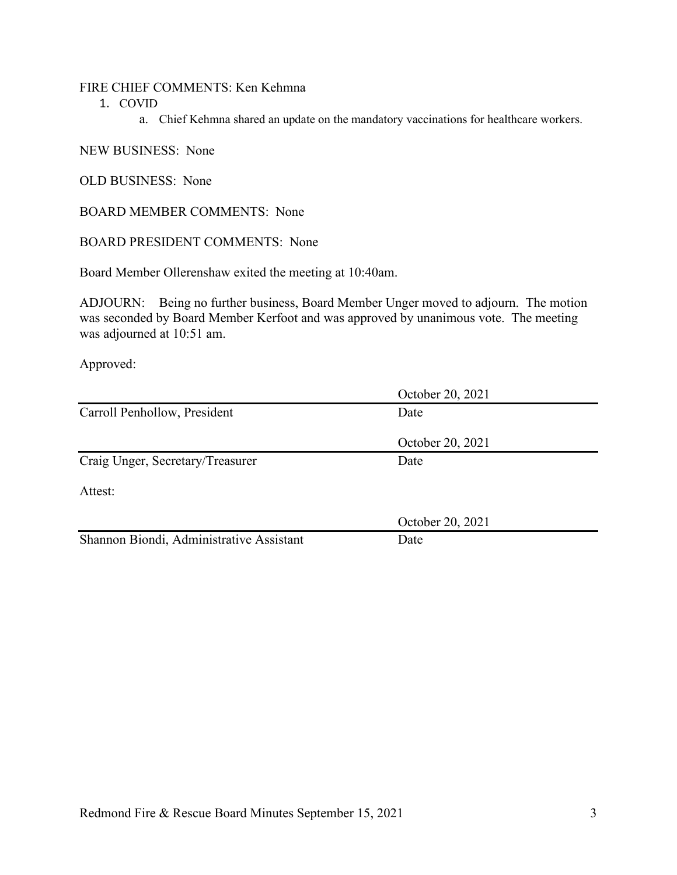#### FIRE CHIEF COMMENTS: Ken Kehmna

1. COVID

a. Chief Kehmna shared an update on the mandatory vaccinations for healthcare workers.

#### NEW BUSINESS: None

OLD BUSINESS: None

BOARD MEMBER COMMENTS: None

BOARD PRESIDENT COMMENTS: None

Board Member Ollerenshaw exited the meeting at 10:40am.

ADJOURN: Being no further business, Board Member Unger moved to adjourn. The motion was seconded by Board Member Kerfoot and was approved by unanimous vote. The meeting was adjourned at 10:51 am.

Approved:

|                                          | October 20, 2021 |  |
|------------------------------------------|------------------|--|
| Carroll Penhollow, President             | Date             |  |
|                                          | October 20, 2021 |  |
| Craig Unger, Secretary/Treasurer         | Date             |  |
| Attest:                                  |                  |  |
|                                          | October 20, 2021 |  |
| Shannon Biondi, Administrative Assistant | Date             |  |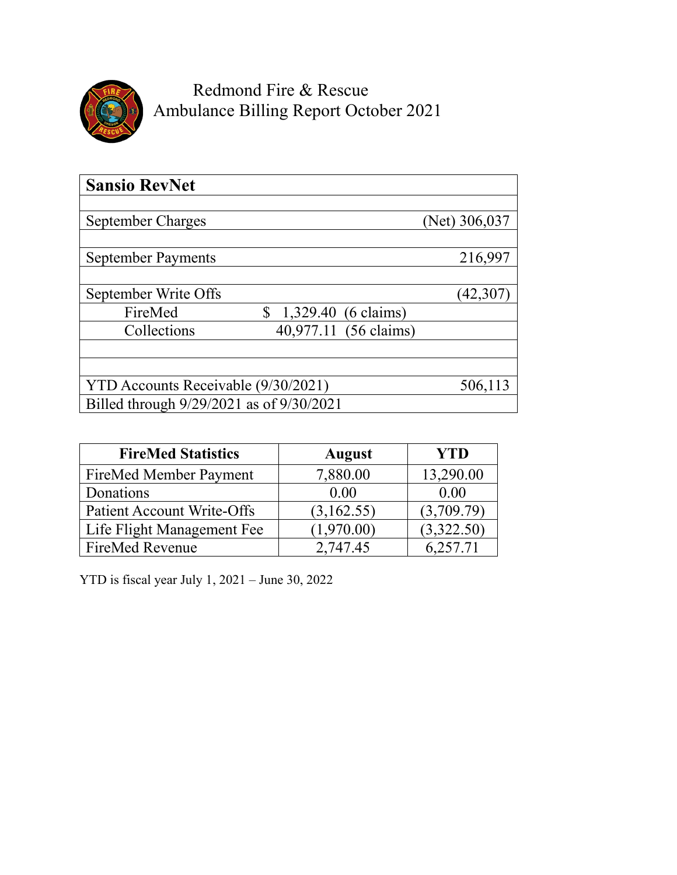

Redmond Fire & Rescue Ambulance Billing Report October 2021

| <b>Sansio RevNet</b>                     |                             |  |
|------------------------------------------|-----------------------------|--|
| September Charges                        | (Net) 306,037               |  |
| <b>September Payments</b>                | 216,997                     |  |
| September Write Offs                     | 42,307                      |  |
| FireMed                                  | \$<br>$1,329.40$ (6 claims) |  |
| Collections                              | 40,977.11 (56 claims)       |  |
| YTD Accounts Receivable (9/30/2021)      | 506,113                     |  |
| Billed through 9/29/2021 as of 9/30/2021 |                             |  |

| <b>FireMed Statistics</b>         | <b>August</b> | <b>YTD</b> |
|-----------------------------------|---------------|------------|
| FireMed Member Payment            | 7,880.00      | 13,290.00  |
| Donations                         | 0.00          | 0.00       |
| <b>Patient Account Write-Offs</b> | (3,162.55)    | (3,709.79) |
| Life Flight Management Fee        | (1,970.00)    | (3,322.50) |
| <b>FireMed Revenue</b>            | 2.747.45      | 6.257.71   |

YTD is fiscal year July 1, 2021 – June 30, 2022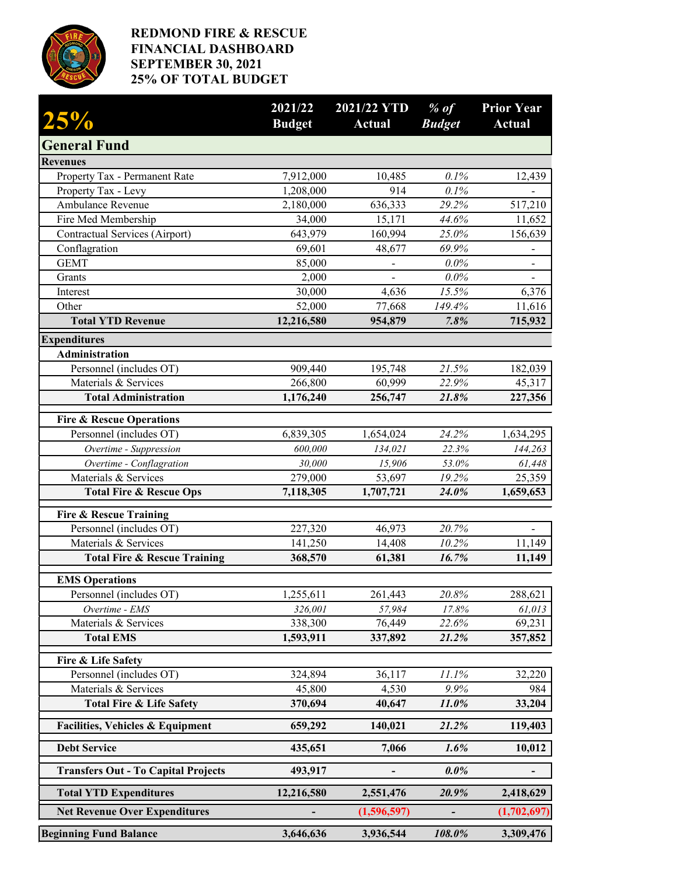

## **REDMOND FIRE & RESCUE FINANCIAL DASHBOARD SEPTEMBER 30, 2021 25% OF TOTAL BUDGET**

| 25%                                             | 2021/22<br><b>Budget</b> | 2021/22 YTD<br><b>Actual</b> | $%$ of<br><b>Budget</b> | <b>Prior Year</b><br><b>Actual</b> |
|-------------------------------------------------|--------------------------|------------------------------|-------------------------|------------------------------------|
| <b>General Fund</b>                             |                          |                              |                         |                                    |
| <b>Revenues</b>                                 |                          |                              |                         |                                    |
| Property Tax - Permanent Rate                   | 7,912,000                | 10,485                       | 0.1%                    | 12,439                             |
| Property Tax - Levy                             | 1,208,000                | 914                          | 0.1%                    |                                    |
| Ambulance Revenue                               | 2,180,000                | 636,333                      | 29.2%                   | 517,210                            |
| Fire Med Membership                             | 34,000                   | 15,171                       | 44.6%                   | 11,652                             |
| <b>Contractual Services (Airport)</b>           | 643,979                  | 160,994                      | 25.0%                   | 156,639                            |
| Conflagration                                   | 69,601                   | 48,677                       | 69.9%                   |                                    |
| <b>GEMT</b>                                     | 85,000                   | $\qquad \qquad \blacksquare$ | $0.0\%$                 |                                    |
| Grants                                          | 2,000                    |                              | $0.0\%$                 |                                    |
| Interest                                        | 30,000                   | 4,636                        | 15.5%                   | 6,376                              |
| Other                                           | 52,000                   | 77,668                       | 149.4%                  | 11,616                             |
| <b>Total YTD Revenue</b>                        | 12,216,580               | 954,879                      | 7.8%                    | 715,932                            |
| <b>Expenditures</b>                             |                          |                              |                         |                                    |
| <b>Administration</b>                           |                          |                              |                         |                                    |
| Personnel (includes OT)<br>Materials & Services | 909,440<br>266,800       | 195,748<br>60,999            | 21.5%<br>22.9%          | 182,039<br>45,317                  |
| <b>Total Administration</b>                     | 1,176,240                | 256,747                      | 21.8%                   | 227,356                            |
|                                                 |                          |                              |                         |                                    |
| <b>Fire &amp; Rescue Operations</b>             |                          |                              |                         |                                    |
| Personnel (includes OT)                         | 6,839,305                | 1,654,024                    | 24.2%                   | 1,634,295                          |
| Overtime - Suppression                          | 600,000                  | 134,021                      | 22.3%                   | 144,263                            |
| Overtime - Conflagration                        | 30,000                   | 15,906                       | 53.0%                   | 61,448                             |
| Materials & Services                            | 279,000                  | 53,697                       | 19.2%<br>24.0%          | 25,359                             |
| <b>Total Fire &amp; Rescue Ops</b>              | 7,118,305                | 1,707,721                    |                         | 1,659,653                          |
| <b>Fire &amp; Rescue Training</b>               |                          |                              |                         |                                    |
| Personnel (includes OT)                         | 227,320                  | 46,973                       | 20.7%                   |                                    |
| Materials & Services                            | 141,250                  | 14,408                       | 10.2%                   | 11,149                             |
| <b>Total Fire &amp; Rescue Training</b>         | 368,570                  | 61,381                       | 16.7%                   | 11,149                             |
| <b>EMS Operations</b>                           |                          |                              |                         |                                    |
| Personnel (includes OT)                         | 1,255,611                | 261,443                      | 20.8%                   | 288,621                            |
| Overtime - EMS                                  | 326,001                  | 57,984                       | 17.8%                   | 61,013                             |
| Materials & Services                            | 338,300                  | 76,449                       | 22.6%                   | 69,231                             |
| <b>Total EMS</b>                                | 1,593,911                | 337,892                      | 21.2%                   | 357,852                            |
| Fire & Life Safety                              |                          |                              |                         |                                    |
| Personnel (includes OT)                         | 324,894                  | 36,117                       | 11.1%                   | 32,220                             |
| Materials & Services                            | 45,800                   | 4,530                        | 9.9%                    | 984                                |
| <b>Total Fire &amp; Life Safety</b>             | 370,694                  | 40,647                       | 11.0%                   | 33,204                             |
| <b>Facilities, Vehicles &amp; Equipment</b>     | 659,292                  | 140,021                      | 21.2%                   | 119,403                            |
| <b>Debt Service</b>                             | 435,651                  | 7,066                        | 1.6%                    | 10,012                             |
| <b>Transfers Out - To Capital Projects</b>      | 493,917                  |                              | $0.0\%$                 |                                    |
| <b>Total YTD Expenditures</b>                   | 12,216,580               | 2,551,476                    | 20.9%                   | 2,418,629                          |
| <b>Net Revenue Over Expenditures</b>            |                          | (1,596,597)                  |                         | (1,702,697)                        |
| <b>Beginning Fund Balance</b>                   | 3,646,636                | 3,936,544                    | 108.0%                  | 3,309,476                          |